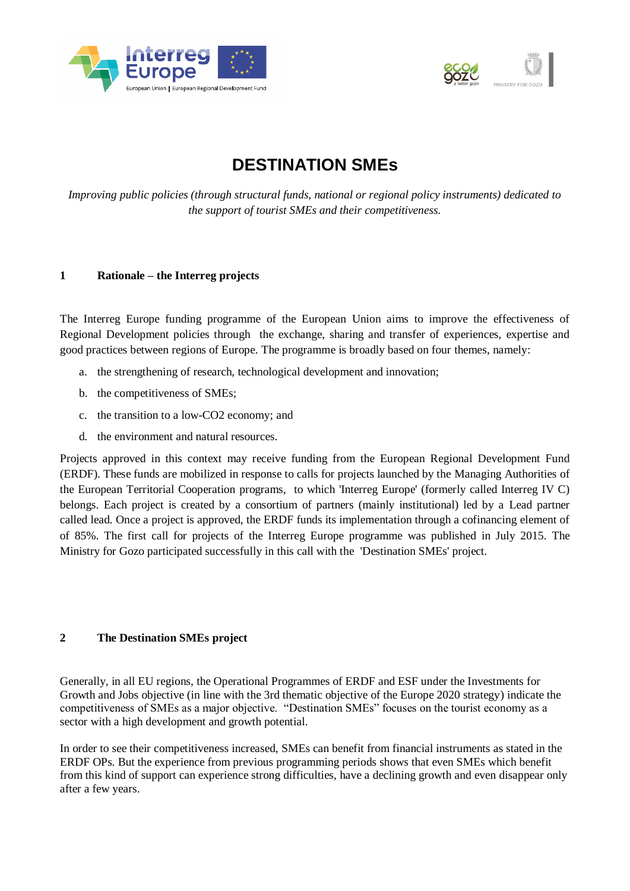



# **DESTINATION SMEs**

*Improving public policies (through structural funds, national or regional policy instruments) dedicated to the support of tourist SMEs and their competitiveness.*

## **1 Rationale – the Interreg projects**

The Interreg Europe funding programme of the European Union aims to improve the effectiveness of Regional Development policies through the exchange, sharing and transfer of experiences, expertise and good practices between regions of Europe. The programme is broadly based on four themes, namely:

- a. the strengthening of research, technological development and innovation;
- b. the competitiveness of SMEs;
- c. the transition to a low-CO2 economy; and
- d. the environment and natural resources.

Projects approved in this context may receive funding from the European Regional Development Fund (ERDF). These funds are mobilized in response to calls for projects launched by the Managing Authorities of the European Territorial Cooperation programs, to which 'Interreg Europe' (formerly called Interreg IV C) belongs. Each project is created by a consortium of partners (mainly institutional) led by a Lead partner called lead. Once a project is approved, the ERDF funds its implementation through a cofinancing element of of 85%. The first call for projects of the Interreg Europe programme was published in July 2015. The Ministry for Gozo participated successfully in this call with the 'Destination SMEs' project.

### **2 The Destination SMEs project**

Generally, in all EU regions, the Operational Programmes of ERDF and ESF under the Investments for Growth and Jobs objective (in line with the 3rd thematic objective of the Europe 2020 strategy) indicate the competitiveness of SMEs as a major objective. "Destination SMEs" focuses on the tourist economy as a sector with a high development and growth potential.

In order to see their competitiveness increased, SMEs can benefit from financial instruments as stated in the ERDF OPs. But the experience from previous programming periods shows that even SMEs which benefit from this kind of support can experience strong difficulties, have a declining growth and even disappear only after a few years.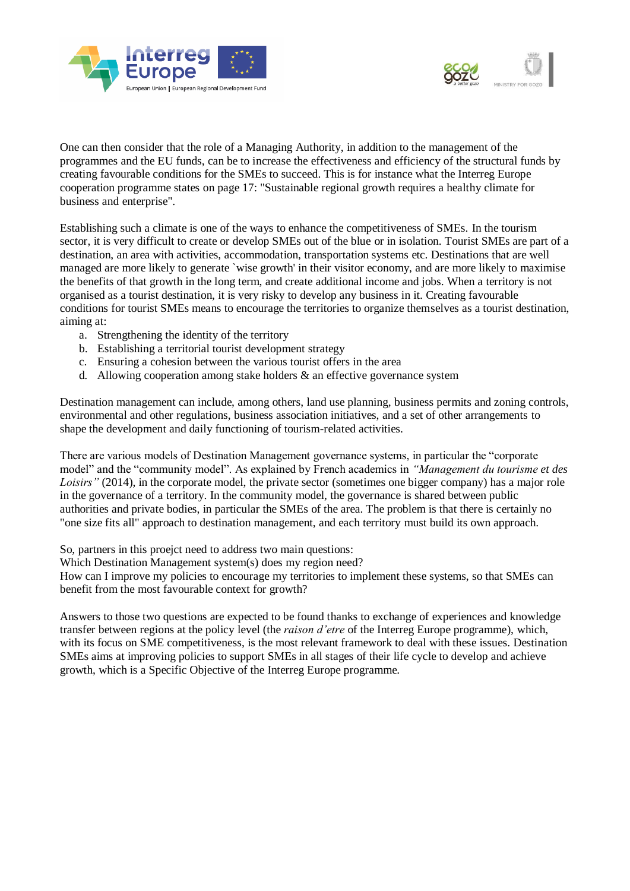



One can then consider that the role of a Managing Authority, in addition to the management of the programmes and the EU funds, can be to increase the effectiveness and efficiency of the structural funds by creating favourable conditions for the SMEs to succeed. This is for instance what the Interreg Europe cooperation programme states on page 17: "Sustainable regional growth requires a healthy climate for business and enterprise".

Establishing such a climate is one of the ways to enhance the competitiveness of SMEs. In the tourism sector, it is very difficult to create or develop SMEs out of the blue or in isolation. Tourist SMEs are part of a destination, an area with activities, accommodation, transportation systems etc. Destinations that are well managed are more likely to generate `wise growth' in their visitor economy, and are more likely to maximise the benefits of that growth in the long term, and create additional income and jobs. When a territory is not organised as a tourist destination, it is very risky to develop any business in it. Creating favourable conditions for tourist SMEs means to encourage the territories to organize themselves as a tourist destination, aiming at:

- a. Strengthening the identity of the territory
- b. Establishing a territorial tourist development strategy
- c. Ensuring a cohesion between the various tourist offers in the area
- d. Allowing cooperation among stake holders & an effective governance system

Destination management can include, among others, land use planning, business permits and zoning controls, environmental and other regulations, business association initiatives, and a set of other arrangements to shape the development and daily functioning of tourism-related activities.

There are various models of Destination Management governance systems, in particular the "corporate model" and the "community model". As explained by French academics in *"Management du tourisme et des Loisirs"* (2014), in the corporate model, the private sector (sometimes one bigger company) has a major role in the governance of a territory. In the community model, the governance is shared between public authorities and private bodies, in particular the SMEs of the area. The problem is that there is certainly no "one size fits all" approach to destination management, and each territory must build its own approach.

So, partners in this proejct need to address two main questions:

Which Destination Management system(s) does my region need?

How can I improve my policies to encourage my territories to implement these systems, so that SMEs can benefit from the most favourable context for growth?

Answers to those two questions are expected to be found thanks to exchange of experiences and knowledge transfer between regions at the policy level (the *raison d'etre* of the Interreg Europe programme), which, with its focus on SME competitiveness, is the most relevant framework to deal with these issues. Destination SMEs aims at improving policies to support SMEs in all stages of their life cycle to develop and achieve growth, which is a Specific Objective of the Interreg Europe programme.